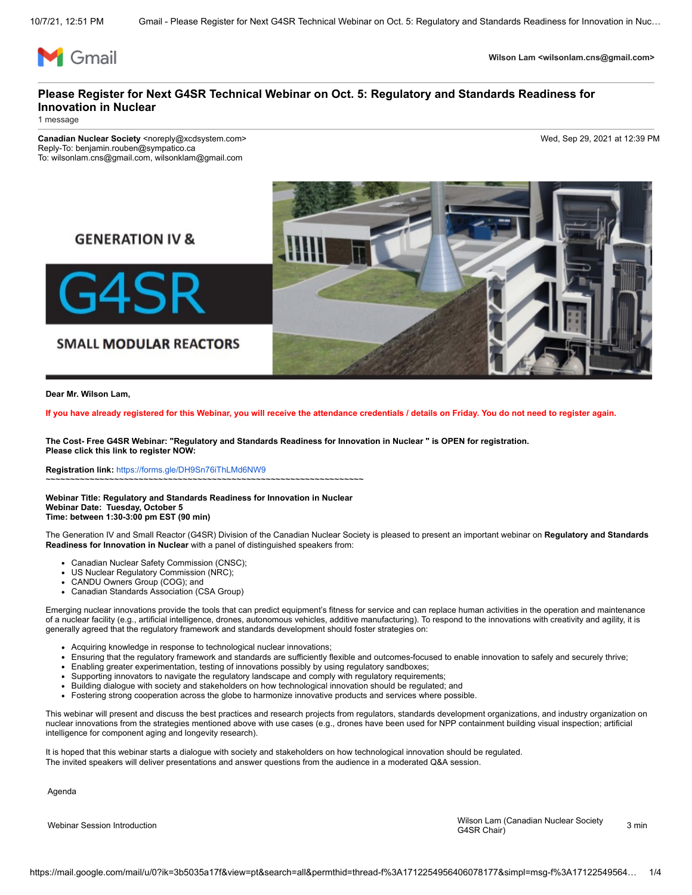

**Wilson Lam <wilsonlam.cns@gmail.com>**

# **Please Register for Next G4SR Technical Webinar on Oct. 5: Regulatory and Standards Readiness for Innovation in Nuclear**

1 message

**Canadian Nuclear Society** <noreply@xcdsystem.com> Wed, Sep 29, 2021 at 12:39 PM Reply-To: benjamin.rouben@sympatico.ca To: wilsonlam.cns@gmail.com, wilsonklam@gmail.com



**Dear Mr. Wilson Lam,**

**If you have already registered for this Webinar, you will receive the attendance credentials / details on Friday. You do not need to register again.**

**The Cost- Free G4SR Webinar: "Regulatory and Standards Readiness for Innovation in Nuclear " is OPEN for registration. Please click this link to register NOW:**

**Registration link:** [https://forms.gle/DH9Sn76iThLMd6NW9](https://mandrillapp.com/track/click/30774040/forms.gle?p=eyJzIjoibTRpWUYtYmxpbGVzSXA3RWdsekpyUUoxRHZ3IiwidiI6MSwicCI6IntcInVcIjozMDc3NDA0MCxcInZcIjoxLFwidXJsXCI6XCJodHRwczpcXFwvXFxcL2Zvcm1zLmdsZVxcXC9ESDlTbjc2aVRoTE1kNk5XOVwiLFwiaWRcIjpcImYyZmVmZmM2OWFlMjRjZTM4NmQxM2Y4MDFiZDhhNTMwXCIsXCJ1cmxfaWRzXCI6W1wiM2JjMzA5NzQ5ZDMzZDY5YzJhODY2NjViYmVkYWM5ZmM3OTc2MjQ0ZlwiXX0ifQ) ~~~~~~~~~~~~~~~~~~~~~~~~~~~~~~~~~~~~~~~~~~~~~~~~~~~~~~~~~~~~~~~~~

**Webinar Title: Regulatory and Standards Readiness for Innovation in Nuclear Webinar Date: Tuesday, October 5**

**Time: between 1:30-3:00 pm EST (90 min)**

The Generation IV and Small Reactor (G4SR) Division of the Canadian Nuclear Society is pleased to present an important webinar on **Regulatory and Standards Readiness for Innovation in Nuclear** with a panel of distinguished speakers from:

- Canadian Nuclear Safety Commission (CNSC);
- US Nuclear Regulatory Commission (NRC);
- CANDU Owners Group (COG); and
- Canadian Standards Association (CSA Group)

Emerging nuclear innovations provide the tools that can predict equipment's fitness for service and can replace human activities in the operation and maintenance of a nuclear facility (e.g., artificial intelligence, drones, autonomous vehicles, additive manufacturing). To respond to the innovations with creativity and agility, it is generally agreed that the regulatory framework and standards development should foster strategies on:

- Acquiring knowledge in response to technological nuclear innovations;
- Ensuring that the regulatory framework and standards are sufficiently flexible and outcomes-focused to enable innovation to safely and securely thrive;  $\bullet$
- Enabling greater experimentation, testing of innovations possibly by using regulatory sandboxes;
- Supporting innovators to navigate the regulatory landscape and comply with regulatory requirements;
- Building dialogue with society and stakeholders on how technological innovation should be regulated; and
- Fostering strong cooperation across the globe to harmonize innovative products and services where possible.

This webinar will present and discuss the best practices and research projects from regulators, standards development organizations, and industry organization on nuclear innovations from the strategies mentioned above with use cases (e.g., drones have been used for NPP containment building visual inspection; artificial intelligence for component aging and longevity research).

It is hoped that this webinar starts a dialogue with society and stakeholders on how technological innovation should be regulated. The invited speakers will deliver presentations and answer questions from the audience in a moderated Q&A session.

Agenda

Wilson Lam (Canadian Nuclear Society مسعود Wilson Lam (Canadian Nuclear Society مسعود 1956)<br>G4SR Chair) 3 min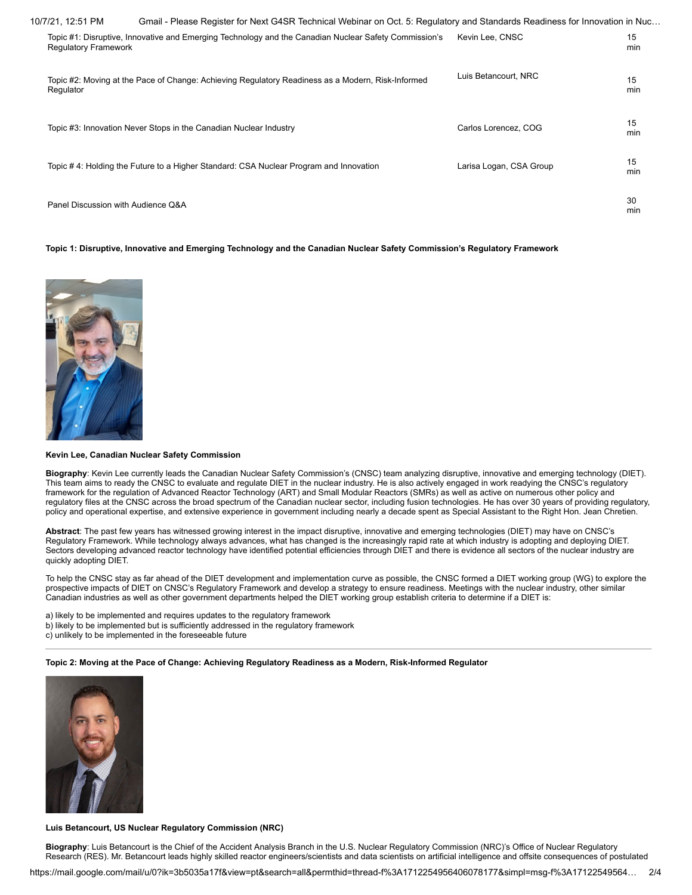| 10/7/21, 12:51 PM                  | Gmail - Please Register for Next G4SR Technical Webinar on Oct. 5: Regulatory and Standards Readiness for Innovation in Nuc |                         |           |
|------------------------------------|-----------------------------------------------------------------------------------------------------------------------------|-------------------------|-----------|
| <b>Regulatory Framework</b>        | Topic #1: Disruptive, Innovative and Emerging Technology and the Canadian Nuclear Safety Commission's                       | Kevin Lee, CNSC         | 15<br>min |
| Regulator                          | Topic #2: Moving at the Pace of Change: Achieving Regulatory Readiness as a Modern, Risk-Informed                           | Luis Betancourt, NRC    | 15<br>min |
|                                    | Topic #3: Innovation Never Stops in the Canadian Nuclear Industry                                                           | Carlos Lorencez, COG    | 15<br>min |
|                                    | Topic #4: Holding the Future to a Higher Standard: CSA Nuclear Program and Innovation                                       | Larisa Logan, CSA Group | 15<br>min |
| Panel Discussion with Audience Q&A |                                                                                                                             |                         | 30<br>min |

## **Topic 1: Disruptive, Innovative and Emerging Technology and the Canadian Nuclear Safety Commission's Regulatory Framework**



#### **Kevin Lee, Canadian Nuclear Safety Commission**

**Biography**: Kevin Lee currently leads the Canadian Nuclear Safety Commission's (CNSC) team analyzing disruptive, innovative and emerging technology (DIET). This team aims to ready the CNSC to evaluate and regulate DIET in the nuclear industry. He is also actively engaged in work readying the CNSC's regulatory framework for the regulation of Advanced Reactor Technology (ART) and Small Modular Reactors (SMRs) as well as active on numerous other policy and regulatory files at the CNSC across the broad spectrum of the Canadian nuclear sector, including fusion technologies. He has over 30 years of providing regulatory, policy and operational expertise, and extensive experience in government including nearly a decade spent as Special Assistant to the Right Hon. Jean Chretien.

**Abstract**: The past few years has witnessed growing interest in the impact disruptive, innovative and emerging technologies (DIET) may have on CNSC's Regulatory Framework. While technology always advances, what has changed is the increasingly rapid rate at which industry is adopting and deploying DIET. Sectors developing advanced reactor technology have identified potential efficiencies through DIET and there is evidence all sectors of the nuclear industry are quickly adopting DIET.

To help the CNSC stay as far ahead of the DIET development and implementation curve as possible, the CNSC formed a DIET working group (WG) to explore the prospective impacts of DIET on CNSC's Regulatory Framework and develop a strategy to ensure readiness. Meetings with the nuclear industry, other similar Canadian industries as well as other government departments helped the DIET working group establish criteria to determine if a DIET is:

a) likely to be implemented and requires updates to the regulatory framework b) likely to be implemented but is sufficiently addressed in the regulatory framework

c) unlikely to be implemented in the foreseeable future

# **Topic 2: Moving at the Pace of Change: Achieving Regulatory Readiness as a Modern, Risk-Informed Regulator**



## **Luis Betancourt, US Nuclear Regulatory Commission (NRC)**

**Biography**: Luis Betancourt is the Chief of the Accident Analysis Branch in the U.S. Nuclear Regulatory Commission (NRC)'s Office of Nuclear Regulatory Research (RES). Mr. Betancourt leads highly skilled reactor engineers/scientists and data scientists on artificial intelligence and offsite consequences of postulated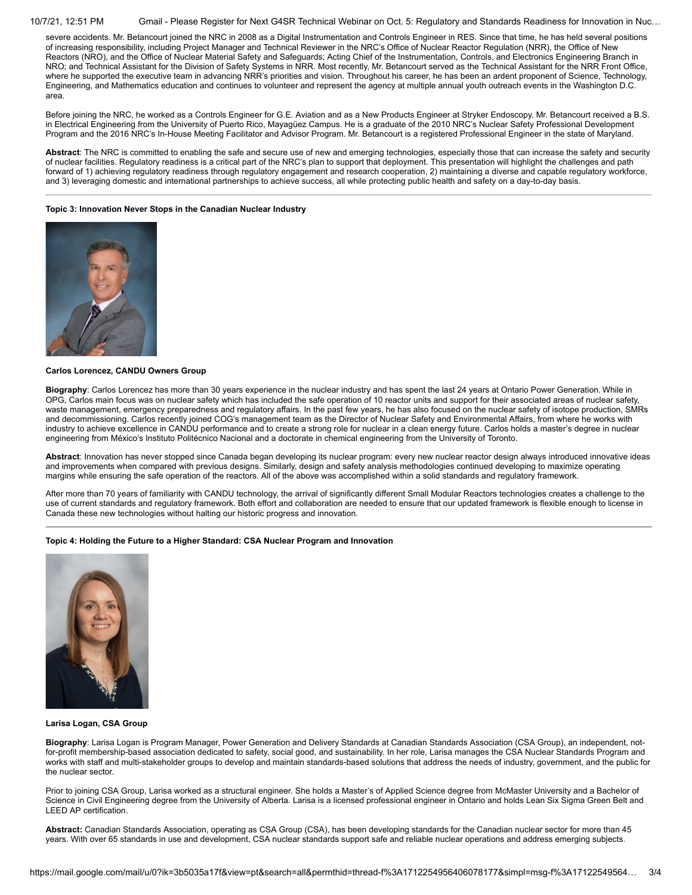10/7/21, 12:51 PM Gmail - Please Register for Next G4SR Technical Webinar on Oct. 5: Regulatory and Standards Readiness for Innovation in Nuc…

severe accidents. Mr. Betancourt joined the NRC in 2008 as a Digital Instrumentation and Controls Engineer in RES. Since that time, he has held several positions of increasing responsibility, including Project Manager and Technical Reviewer in the NRC's Office of Nuclear Reactor Regulation (NRR), the Office of New Reactors (NRO), and the Office of Nuclear Material Safety and Safeguards; Acting Chief of the Instrumentation, Controls, and Electronics Engineering Branch in NRO; and Technical Assistant for the Division of Safety Systems in NRR. Most recently, Mr. Betancourt served as the Technical Assistant for the NRR Front Office, where he supported the executive team in advancing NRR's priorities and vision. Throughout his career, he has been an ardent proponent of Science, Technology, Engineering, and Mathematics education and continues to volunteer and represent the agency at multiple annual youth outreach events in the Washington D.C. area.

Before joining the NRC, he worked as a Controls Engineer for G.E. Aviation and as a New Products Engineer at Stryker Endoscopy. Mr. Betancourt received a B.S. in Electrical Engineering from the University of Puerto Rico, Mayagüez Campus. He is a graduate of the 2010 NRC's Nuclear Safety Professional Development Program and the 2016 NRC's In-House Meeting Facilitator and Advisor Program. Mr. Betancourt is a registered Professional Engineer in the state of Maryland.

**Abstract**: The NRC is committed to enabling the safe and secure use of new and emerging technologies, especially those that can increase the safety and security of nuclear facilities. Regulatory readiness is a critical part of the NRC's plan to support that deployment. This presentation will highlight the challenges and path forward of 1) achieving regulatory readiness through regulatory engagement and research cooperation, 2) maintaining a diverse and capable regulatory workforce, and 3) leveraging domestic and international partnerships to achieve success, all while protecting public health and safety on a day-to-day basis.

### **Topic 3: Innovation Never Stops in the Canadian Nuclear Industry**



### **Carlos Lorencez, CANDU Owners Group**

**Biography**: Carlos Lorencez has more than 30 years experience in the nuclear industry and has spent the last 24 years at Ontario Power Generation. While in OPG, Carlos main focus was on nuclear safety which has included the safe operation of 10 reactor units and support for their associated areas of nuclear safety, waste management, emergency preparedness and regulatory affairs. In the past few years, he has also focused on the nuclear safety of isotope production, SMRs and decommissioning. Carlos recently joined COG's management team as the Director of Nuclear Safety and Environmental Affairs, from where he works with industry to achieve excellence in CANDU performance and to create a strong role for nuclear in a clean energy future. Carlos holds a master's degree in nuclear engineering from México's Instituto Politécnico Nacional and a doctorate in chemical engineering from the University of Toronto.

**Abstract**: Innovation has never stopped since Canada began developing its nuclear program: every new nuclear reactor design always introduced innovative ideas and improvements when compared with previous designs. Similarly, design and safety analysis methodologies continued developing to maximize operating margins while ensuring the safe operation of the reactors. All of the above was accomplished within a solid standards and regulatory framework.

After more than 70 years of familiarity with CANDU technology, the arrival of significantly different Small Modular Reactors technologies creates a challenge to the use of current standards and regulatory framework. Both effort and collaboration are needed to ensure that our updated framework is flexible enough to license in Canada these new technologies without halting our historic progress and innovation.

# **Topic 4: Holding the Future to a Higher Standard: CSA Nuclear Program and Innovation**



#### **Larisa Logan, CSA Group**

**Biography**: Larisa Logan is Program Manager, Power Generation and Delivery Standards at Canadian Standards Association (CSA Group), an independent, notfor-profit membership-based association dedicated to safety, social good, and sustainability. In her role, Larisa manages the CSA Nuclear Standards Program and works with staff and multi-stakeholder groups to develop and maintain standards-based solutions that address the needs of industry, government, and the public for the nuclear sector.

Prior to joining CSA Group, Larisa worked as a structural engineer. She holds a Master's of Applied Science degree from McMaster University and a Bachelor of Science in Civil Engineering degree from the University of Alberta. Larisa is a licensed professional engineer in Ontario and holds Lean Six Sigma Green Belt and LEED AP certification.

**Abstract:** Canadian Standards Association, operating as CSA Group (CSA), has been developing standards for the Canadian nuclear sector for more than 45 years. With over 65 standards in use and development, CSA nuclear standards support safe and reliable nuclear operations and address emerging subjects.